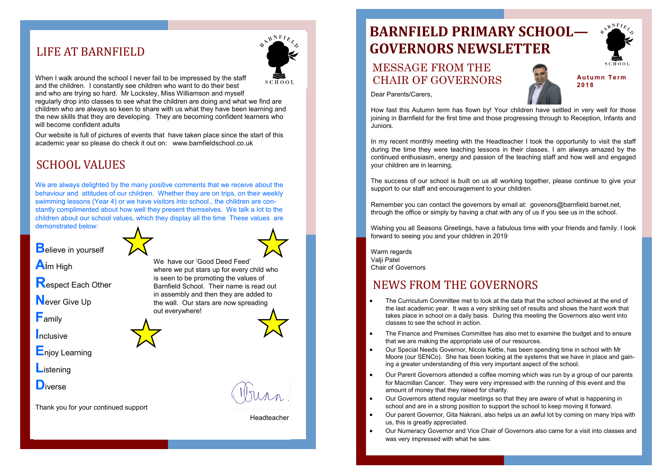When I walk around the school I never fail to be impressed by the staff  $SCHOOL$ and the children. I constantly see children who want to do their best and who are trying so hard. Mr Locksley, Miss Williamson and myself regularly drop into classes to see what the children are doing and what we find are children who are always so keen to share with us what they have been learning and the new skills that they are developing. They are becoming confident learners who will become confident adults

We are always delighted by the many positive comments that we receive about the behaviour and attitudes of our children. Whether they are on trips, on their weekly swimming lessons (Year 4) or we have visitors into school., the children are constantly complimented about how well they present themselves. We talk a lot to the children about our school values, which they display all the time These values are demonstrated below:

**B**elieve in yourself

Our website is full of pictures of events that have taken place since the start of this academic year so please do check it out on: www.barnfieldschool.co.uk

**A**im High

**R**espect Each Other

**N**ever Give Up

**F**amily

**I**nclusive

**E**njoy Learning

**L**istening

**D**iverse

Thank you for your continued support

### LIFE AT BARNFIELD



We have our 'Good Deed Feed' where we put stars up for every child who is seen to be promoting the values of Barnfield School. Their name is read out in assembly and then they are added to the wall. Our stars are now spreading out everywhere!

## SCHOOL VALUES

the last academic year. It was a very striking set of results and shows the hard work that

In my recent monthly meeting with the Headteacher I took the opportunity to visit the staff during the time they were teaching lessons in their classes. I am always amazed by the continued enthusiasm, energy and passion of the teaching staff and how well and engaged your children are in learning.

Warm regards Valii Patel Chair of Governors

Moore (our SENCo). She has been looking at the systems that we have in place and gain-

- The Curriculum Committee met to look at the data that the school achieved at the end of takes place in school on a daily basis. During this meeting the Governors also went into classes to see the school in action.
- The Finance and Premises Committee has also met to examine the budget and to ensure that we are making the appropriate use of our resources.
- Our Special Needs Governor, Nicola Kettle, has been spending time in school with Mr ing a greater understanding of this very important aspect of the school.
- Our Parent Governors attended a coffee morning which was run by a group of our parents for Macmillan Cancer. They were very impressed with the running of this event and the amount of money that they raised for charity.
- Our Governors attend regular meetings so that they are aware of what is happening in school and are in a strong position to support the school to keep moving it forward.
- Our parent Governor, Gita Nakrani, also helps us an awful lot by coming on many trips with us, this is greatly appreciated.
- was very impressed with what he saw.







Our Numeracy Governor and Vice Chair of Governors also came for a visit into classes and

## NEWS FROM THE GOVERNORS

# **BARNFIELD PRIMARY SCHOOL— GOVERNORS NEWSLETTER**

### MESSAGE FROM THE CHAIR OF GOVERNORS

**Aut um n Te r m 2018**

Dear Parents/Carers,

How fast this Autumn term has flown by! Your children have settled in very well for those joining in Barnfield for the first time and those progressing through to Reception, Infants and Juniors.

The success of our school is built on us all working together, please continue to give your support to our staff and encouragement to your children.

Remember you can contact the governors by email at: govenors@barnfield.barnet.net, through the office or simply by having a chat with any of us if you see us in the school.

Wishing you all Seasons Greetings, have a fabulous time with your friends and family. I look forward to seeing you and your children in 2019

Headteacher